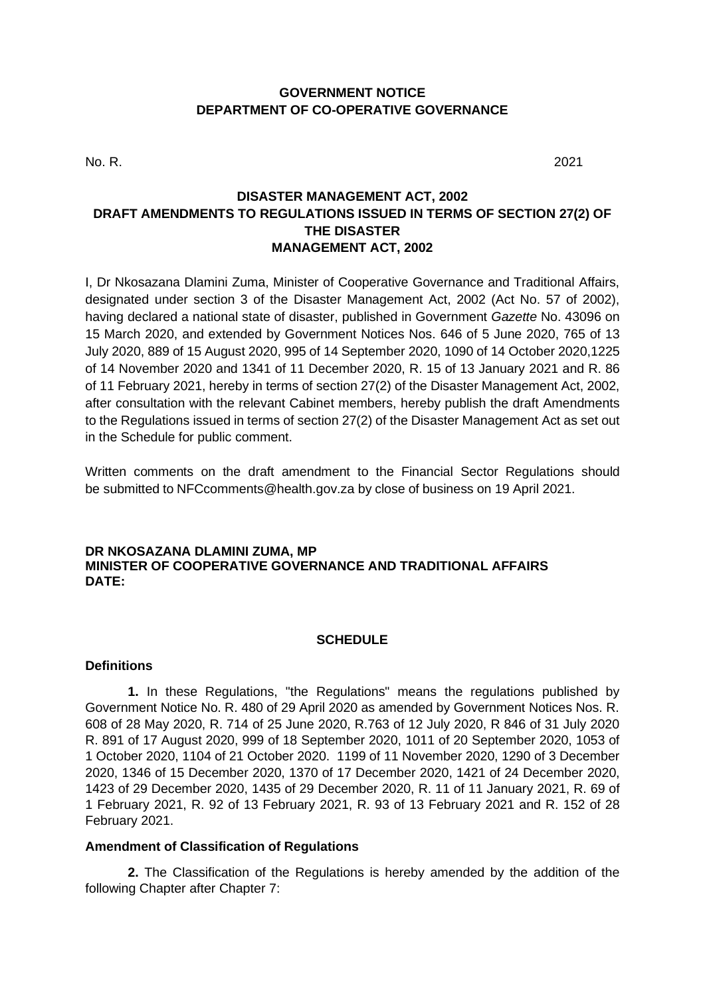## **GOVERNMENT NOTICE DEPARTMENT OF CO-OPERATIVE GOVERNANCE**

No. R. 2021

# **DISASTER MANAGEMENT ACT, 2002 DRAFT AMENDMENTS TO REGULATIONS ISSUED IN TERMS OF SECTION 27(2) OF THE DISASTER MANAGEMENT ACT, 2002**

I, Dr Nkosazana Dlamini Zuma, Minister of Cooperative Governance and Traditional Affairs, designated under section 3 of the Disaster Management Act, 2002 (Act No. 57 of 2002), having declared a national state of disaster, published in Government *Gazette* No. 43096 on 15 March 2020, and extended by Government Notices Nos. 646 of 5 June 2020, 765 of 13 July 2020, 889 of 15 August 2020, 995 of 14 September 2020, 1090 of 14 October 2020,1225 of 14 November 2020 and 1341 of 11 December 2020, R. 15 of 13 January 2021 and R. 86 of 11 February 2021, hereby in terms of section 27(2) of the Disaster Management Act, 2002, after consultation with the relevant Cabinet members, hereby publish the draft Amendments to the Regulations issued in terms of section 27(2) of the Disaster Management Act as set out in the Schedule for public comment.

Written comments on the draft amendment to the Financial Sector Regulations should be submitted to NFCcomments@health.gov.za by close of business on 19 April 2021.

### **DR NKOSAZANA DLAMINI ZUMA, MP MINISTER OF COOPERATIVE GOVERNANCE AND TRADITIONAL AFFAIRS DATE:**

## **SCHEDULE**

### **Definitions**

**1.** In these Regulations, "the Regulations" means the regulations published by Government Notice No. R. 480 of 29 April 2020 as amended by Government Notices Nos. R. 608 of 28 May 2020, R. 714 of 25 June 2020, R.763 of 12 July 2020, R 846 of 31 July 2020 R. 891 of 17 August 2020, 999 of 18 September 2020, 1011 of 20 September 2020, 1053 of 1 October 2020, 1104 of 21 October 2020. 1199 of 11 November 2020, 1290 of 3 December 2020, 1346 of 15 December 2020, 1370 of 17 December 2020, 1421 of 24 December 2020, 1423 of 29 December 2020, 1435 of 29 December 2020, R. 11 of 11 January 2021, R. 69 of 1 February 2021, R. 92 of 13 February 2021, R. 93 of 13 February 2021 and R. 152 of 28 February 2021.

### **Amendment of Classification of Regulations**

**2.** The Classification of the Regulations is hereby amended by the addition of the following Chapter after Chapter 7: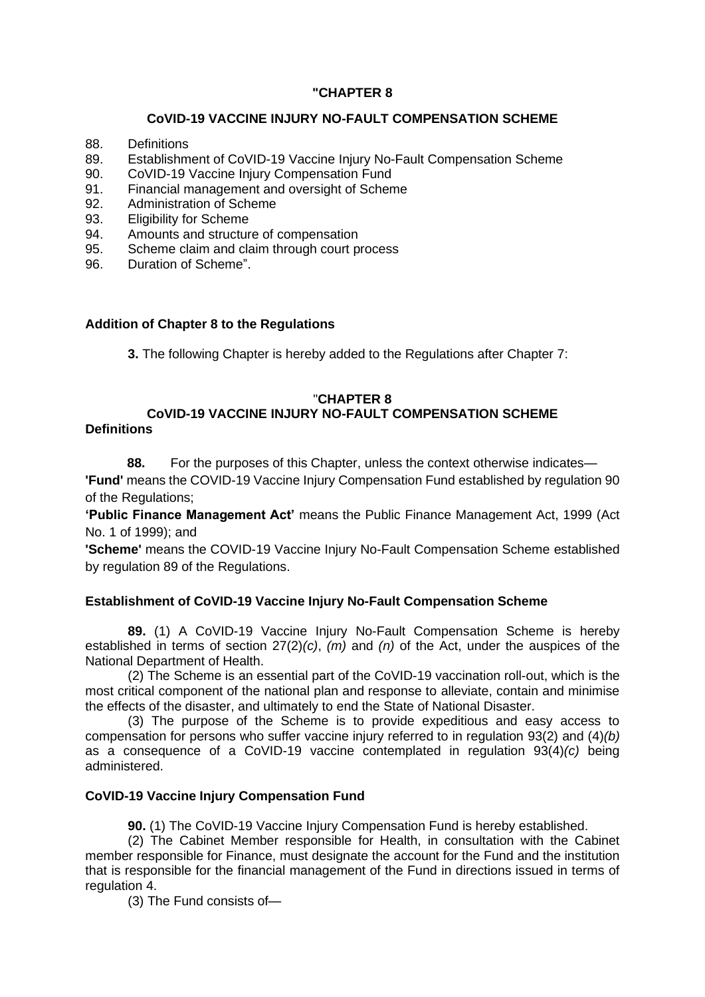# **"CHAPTER 8**

## **CoVID-19 VACCINE INJURY NO-FAULT COMPENSATION SCHEME**

- 88. Definitions
- 89. Establishment of CoVID-19 Vaccine Injury No-Fault Compensation Scheme
- 90. CoVID-19 Vaccine Injury Compensation Fund
- 91. Financial management and oversight of Scheme
- 92. Administration of Scheme
- 93. Eligibility for Scheme
- 94. Amounts and structure of compensation
- 95. Scheme claim and claim through court process
- 96. Duration of Scheme".

## **Addition of Chapter 8 to the Regulations**

**3.** The following Chapter is hereby added to the Regulations after Chapter 7:

## "**CHAPTER 8**

# **CoVID-19 VACCINE INJURY NO-FAULT COMPENSATION SCHEME**

## **Definitions**

**88.** For the purposes of this Chapter, unless the context otherwise indicates— **'Fund'** means the COVID-19 Vaccine Injury Compensation Fund established by regulation 90

of the Regulations;

**'Public Finance Management Act'** means the Public Finance Management Act, 1999 (Act No. 1 of 1999); and

**'Scheme'** means the COVID-19 Vaccine Injury No-Fault Compensation Scheme established by regulation 89 of the Regulations.

# **Establishment of CoVID-19 Vaccine Injury No-Fault Compensation Scheme**

**89.** (1) A CoVID-19 Vaccine Injury No-Fault Compensation Scheme is hereby established in terms of section 27(2)*(c)*, *(m)* and *(n)* of the Act, under the auspices of the National Department of Health.

(2) The Scheme is an essential part of the CoVID-19 vaccination roll-out, which is the most critical component of the national plan and response to alleviate, contain and minimise the effects of the disaster, and ultimately to end the State of National Disaster.

(3) The purpose of the Scheme is to provide expeditious and easy access to compensation for persons who suffer vaccine injury referred to in regulation 93(2) and (4)*(b)*  as a consequence of a CoVID-19 vaccine contemplated in regulation 93(4)*(c)* being administered.

# **CoVID-19 Vaccine Injury Compensation Fund**

**90.** (1) The CoVID-19 Vaccine Injury Compensation Fund is hereby established.

(2) The Cabinet Member responsible for Health, in consultation with the Cabinet member responsible for Finance, must designate the account for the Fund and the institution that is responsible for the financial management of the Fund in directions issued in terms of regulation 4.

(3) The Fund consists of—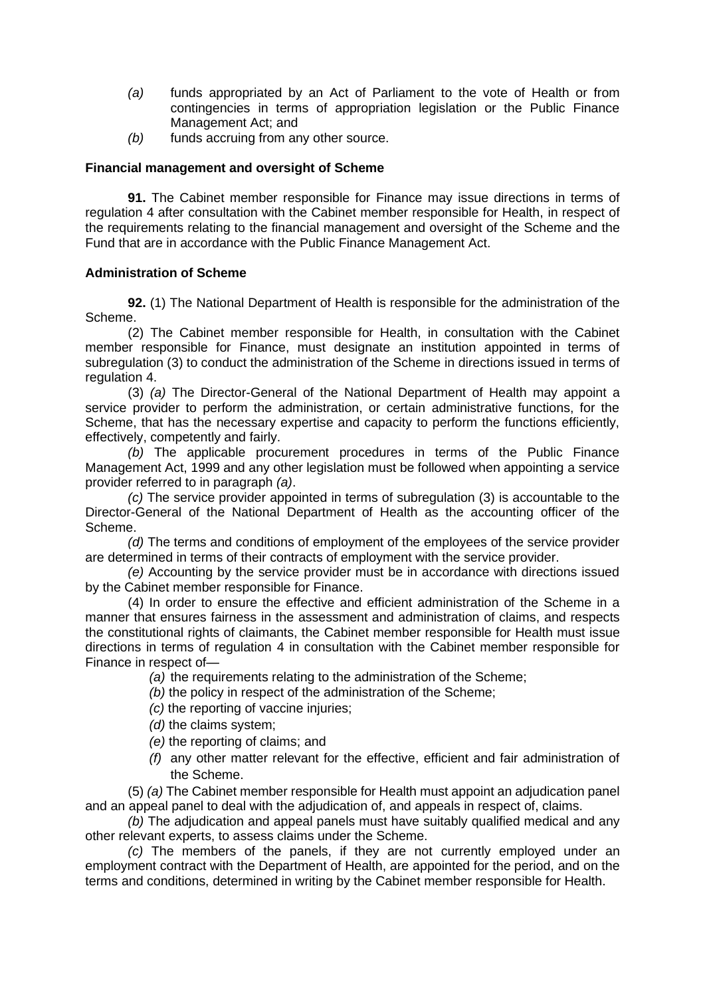- *(a)* funds appropriated by an Act of Parliament to the vote of Health or from contingencies in terms of appropriation legislation or the Public Finance Management Act; and
- *(b)* funds accruing from any other source.

### **Financial management and oversight of Scheme**

**91.** The Cabinet member responsible for Finance may issue directions in terms of regulation 4 after consultation with the Cabinet member responsible for Health, in respect of the requirements relating to the financial management and oversight of the Scheme and the Fund that are in accordance with the Public Finance Management Act.

### **Administration of Scheme**

**92.** (1) The National Department of Health is responsible for the administration of the Scheme.

(2) The Cabinet member responsible for Health, in consultation with the Cabinet member responsible for Finance, must designate an institution appointed in terms of subregulation (3) to conduct the administration of the Scheme in directions issued in terms of regulation 4.

(3) *(a)* The Director-General of the National Department of Health may appoint a service provider to perform the administration, or certain administrative functions, for the Scheme, that has the necessary expertise and capacity to perform the functions efficiently, effectively, competently and fairly.

*(b)* The applicable procurement procedures in terms of the Public Finance Management Act, 1999 and any other legislation must be followed when appointing a service provider referred to in paragraph *(a)*.

*(c)* The service provider appointed in terms of subregulation (3) is accountable to the Director-General of the National Department of Health as the accounting officer of the Scheme.

*(d)* The terms and conditions of employment of the employees of the service provider are determined in terms of their contracts of employment with the service provider.

*(e)* Accounting by the service provider must be in accordance with directions issued by the Cabinet member responsible for Finance.

(4) In order to ensure the effective and efficient administration of the Scheme in a manner that ensures fairness in the assessment and administration of claims, and respects the constitutional rights of claimants, the Cabinet member responsible for Health must issue directions in terms of regulation 4 in consultation with the Cabinet member responsible for Finance in respect of—

*(a)* the requirements relating to the administration of the Scheme;

- *(b)* the policy in respect of the administration of the Scheme;
- *(c)* the reporting of vaccine injuries;
- *(d)* the claims system;
- *(e)* the reporting of claims; and
- *(f)* any other matter relevant for the effective, efficient and fair administration of the Scheme.

(5) *(a)* The Cabinet member responsible for Health must appoint an adjudication panel and an appeal panel to deal with the adjudication of, and appeals in respect of, claims.

*(b)* The adjudication and appeal panels must have suitably qualified medical and any other relevant experts, to assess claims under the Scheme.

*(c)* The members of the panels, if they are not currently employed under an employment contract with the Department of Health, are appointed for the period, and on the terms and conditions, determined in writing by the Cabinet member responsible for Health.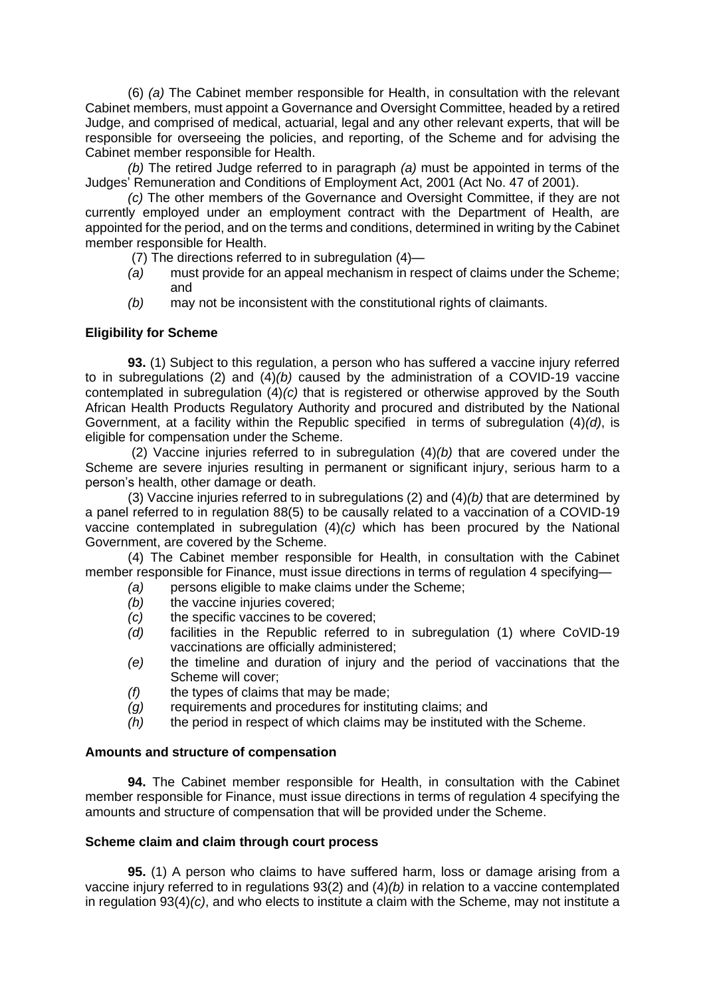(6) *(a)* The Cabinet member responsible for Health, in consultation with the relevant Cabinet members, must appoint a Governance and Oversight Committee, headed by a retired Judge, and comprised of medical, actuarial, legal and any other relevant experts, that will be responsible for overseeing the policies, and reporting, of the Scheme and for advising the Cabinet member responsible for Health.

*(b)* The retired Judge referred to in paragraph *(a)* must be appointed in terms of the Judges' Remuneration and Conditions of Employment Act, 2001 (Act No. 47 of 2001).

*(c)* The other members of the Governance and Oversight Committee, if they are not currently employed under an employment contract with the Department of Health, are appointed for the period, and on the terms and conditions, determined in writing by the Cabinet member responsible for Health.

- (7) The directions referred to in subregulation (4)—
- *(a)* must provide for an appeal mechanism in respect of claims under the Scheme; and
- *(b)* may not be inconsistent with the constitutional rights of claimants.

### **Eligibility for Scheme**

**93.** (1) Subject to this regulation, a person who has suffered a vaccine injury referred to in subregulations (2) and (4)*(b)* caused by the administration of a COVID-19 vaccine contemplated in subregulation (4)*(c)* that is registered or otherwise approved by the South African Health Products Regulatory Authority and procured and distributed by the National Government, at a facility within the Republic specified in terms of subregulation (4)*(d)*, is eligible for compensation under the Scheme.

(2) Vaccine injuries referred to in subregulation (4)*(b)* that are covered under the Scheme are severe injuries resulting in permanent or significant injury, serious harm to a person's health, other damage or death.

(3) Vaccine injuries referred to in subregulations (2) and (4)*(b)* that are determined by a panel referred to in regulation 88(5) to be causally related to a vaccination of a COVID-19 vaccine contemplated in subregulation (4)*(c)* which has been procured by the National Government, are covered by the Scheme.

(4) The Cabinet member responsible for Health, in consultation with the Cabinet member responsible for Finance, must issue directions in terms of regulation 4 specifying—

- *(a)* persons eligible to make claims under the Scheme;
- *(b)* the vaccine injuries covered;<br>*(c)* the specific vaccines to be co
- the specific vaccines to be covered;
- *(d)* facilities in the Republic referred to in subregulation (1) where CoVID-19 vaccinations are officially administered;
- *(e)* the timeline and duration of injury and the period of vaccinations that the Scheme will cover;
- *(f)* the types of claims that may be made;
- *(g)* requirements and procedures for instituting claims; and
- *(h)* the period in respect of which claims may be instituted with the Scheme.

### **Amounts and structure of compensation**

**94.** The Cabinet member responsible for Health, in consultation with the Cabinet member responsible for Finance, must issue directions in terms of regulation 4 specifying the amounts and structure of compensation that will be provided under the Scheme.

### **Scheme claim and claim through court process**

**95.** (1) A person who claims to have suffered harm, loss or damage arising from a vaccine injury referred to in regulations 93(2) and (4)*(b)* in relation to a vaccine contemplated in regulation 93(4)*(c)*, and who elects to institute a claim with the Scheme, may not institute a